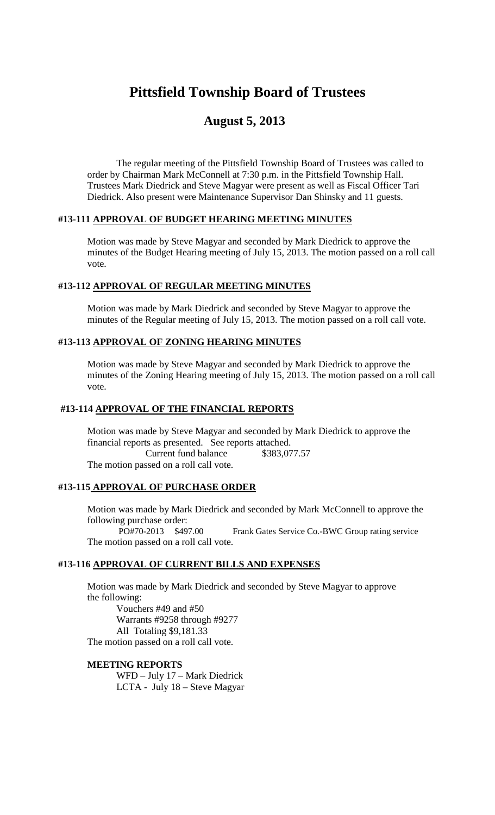# **Pittsfield Township Board of Trustees**

# **August 5, 2013**

The regular meeting of the Pittsfield Township Board of Trustees was called to order by Chairman Mark McConnell at 7:30 p.m. in the Pittsfield Township Hall. Trustees Mark Diedrick and Steve Magyar were present as well as Fiscal Officer Tari Diedrick. Also present were Maintenance Supervisor Dan Shinsky and 11 guests.

## **#13-111 APPROVAL OF BUDGET HEARING MEETING MINUTES**

Motion was made by Steve Magyar and seconded by Mark Diedrick to approve the minutes of the Budget Hearing meeting of July 15, 2013. The motion passed on a roll call vote.

#### **#13-112 APPROVAL OF REGULAR MEETING MINUTES**

Motion was made by Mark Diedrick and seconded by Steve Magyar to approve the minutes of the Regular meeting of July 15, 2013. The motion passed on a roll call vote.

#### **#13-113 APPROVAL OF ZONING HEARING MINUTES**

Motion was made by Steve Magyar and seconded by Mark Diedrick to approve the minutes of the Zoning Hearing meeting of July 15, 2013. The motion passed on a roll call vote.

#### **#13-114 APPROVAL OF THE FINANCIAL REPORTS**

Motion was made by Steve Magyar and seconded by Mark Diedrick to approve the financial reports as presented. See reports attached. Current fund balance \$383,077.57 The motion passed on a roll call vote.

#### **#13-115 APPROVAL OF PURCHASE ORDER**

Motion was made by Mark Diedrick and seconded by Mark McConnell to approve the following purchase order: PO#70-2013 \$497.00 Frank Gates Service Co.-BWC Group rating service

The motion passed on a roll call vote.

## **#13-116 APPROVAL OF CURRENT BILLS AND EXPENSES**

Motion was made by Mark Diedrick and seconded by Steve Magyar to approve the following:

Vouchers #49 and #50 Warrants #9258 through #9277 All Totaling \$9,181.33 The motion passed on a roll call vote.

#### **MEETING REPORTS**

WFD – July 17 – Mark Diedrick LCTA - July 18 – Steve Magyar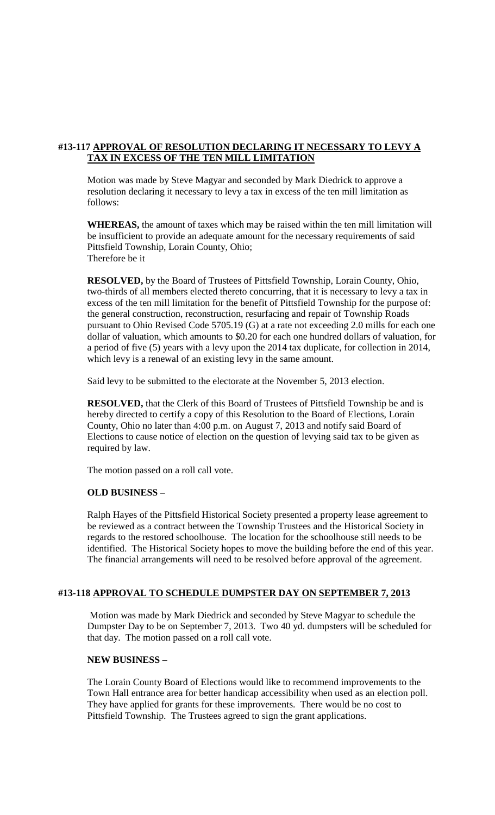# **#13-117 APPROVAL OF RESOLUTION DECLARING IT NECESSARY TO LEVY A TAX IN EXCESS OF THE TEN MILL LIMITATION**

Motion was made by Steve Magyar and seconded by Mark Diedrick to approve a resolution declaring it necessary to levy a tax in excess of the ten mill limitation as follows:

**WHEREAS,** the amount of taxes which may be raised within the ten mill limitation will be insufficient to provide an adequate amount for the necessary requirements of said Pittsfield Township, Lorain County, Ohio; Therefore be it

**RESOLVED,** by the Board of Trustees of Pittsfield Township, Lorain County, Ohio, two-thirds of all members elected thereto concurring, that it is necessary to levy a tax in excess of the ten mill limitation for the benefit of Pittsfield Township for the purpose of: the general construction, reconstruction, resurfacing and repair of Township Roads pursuant to Ohio Revised Code 5705.19 (G) at a rate not exceeding 2.0 mills for each one dollar of valuation, which amounts to \$0.20 for each one hundred dollars of valuation, for a period of five (5) years with a levy upon the 2014 tax duplicate, for collection in 2014, which levy is a renewal of an existing levy in the same amount.

Said levy to be submitted to the electorate at the November 5, 2013 election.

**RESOLVED,** that the Clerk of this Board of Trustees of Pittsfield Township be and is hereby directed to certify a copy of this Resolution to the Board of Elections, Lorain County, Ohio no later than 4:00 p.m. on August 7, 2013 and notify said Board of Elections to cause notice of election on the question of levying said tax to be given as required by law.

The motion passed on a roll call vote.

#### **OLD BUSINESS –**

Ralph Hayes of the Pittsfield Historical Society presented a property lease agreement to be reviewed as a contract between the Township Trustees and the Historical Society in regards to the restored schoolhouse. The location for the schoolhouse still needs to be identified. The Historical Society hopes to move the building before the end of this year. The financial arrangements will need to be resolved before approval of the agreement.

#### **#13-118 APPROVAL TO SCHEDULE DUMPSTER DAY ON SEPTEMBER 7, 2013**

Motion was made by Mark Diedrick and seconded by Steve Magyar to schedule the Dumpster Day to be on September 7, 2013. Two 40 yd. dumpsters will be scheduled for that day. The motion passed on a roll call vote.

#### **NEW BUSINESS –**

The Lorain County Board of Elections would like to recommend improvements to the Town Hall entrance area for better handicap accessibility when used as an election poll. They have applied for grants for these improvements. There would be no cost to Pittsfield Township. The Trustees agreed to sign the grant applications.